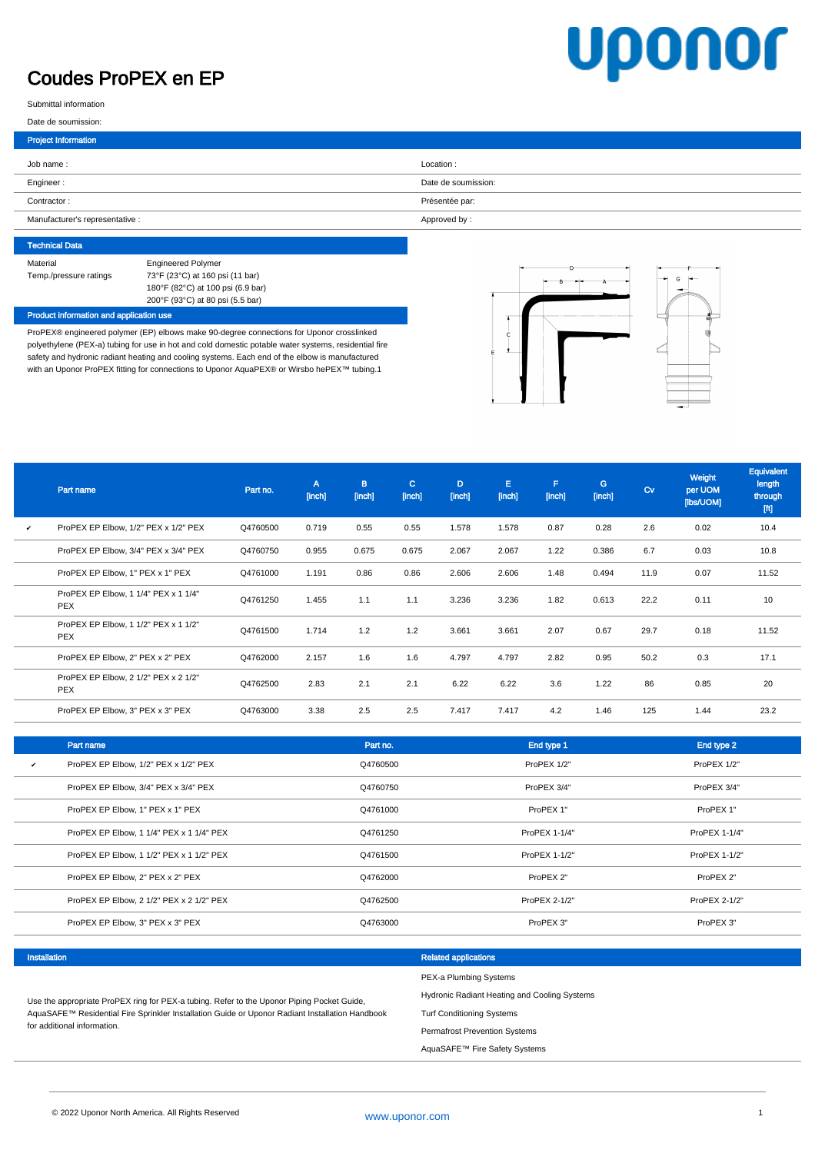## Coudes ProPEX en EP

# **Uponor**

Submittal information

|  |  |  | Date de soumission: |
|--|--|--|---------------------|
|--|--|--|---------------------|

I

| <b>Project Information</b>      |                     |
|---------------------------------|---------------------|
| Job name:                       | Location:           |
| Engineer:                       | Date de soumission: |
| Contractor:                     | Présentée par:      |
| Manufacturer's representative : | Approved by:        |

| <b>Technical Data</b>  |                                   |
|------------------------|-----------------------------------|
| Material               | <b>Engineered Polymer</b>         |
| Temp./pressure ratings | 73°F (23°C) at 160 psi (11 bar)   |
|                        | 180°F (82°C) at 100 psi (6.9 bar) |
|                        | 200°F (93°C) at 80 psi (5.5 bar)  |

### Product information and application use

ProPEX® engineered polymer (EP) elbows make 90-degree connections for Uponor crosslinked polyethylene (PEX-a) tubing for use in hot and cold domestic potable water systems, residential fire safety and hydronic radiant heating and cooling systems. Each end of the elbow is manufactured with an Uponor ProPEX fitting for connections to Uponor AquaPEX® or Wirsbo hePEX™ tubing.1





|   | Part name                                          | Part no. | A<br>[inch] | B.<br>[inch] | $\mathbf{C}$<br>[inch] | D<br>[inch] | E.<br>[inch] | F<br>[inch] | G<br>[inch] | $C_V$ | Weight<br>per UOM<br>[lbs/UOM] | Equivalent<br>length<br>through<br>$[{\rm ft}]$ |
|---|----------------------------------------------------|----------|-------------|--------------|------------------------|-------------|--------------|-------------|-------------|-------|--------------------------------|-------------------------------------------------|
| v | ProPEX EP Elbow, 1/2" PEX x 1/2" PEX               | Q4760500 | 0.719       | 0.55         | 0.55                   | 1.578       | 1.578        | 0.87        | 0.28        | 2.6   | 0.02                           | 10.4                                            |
|   | ProPEX EP Elbow, 3/4" PEX x 3/4" PEX               | Q4760750 | 0.955       | 0.675        | 0.675                  | 2.067       | 2.067        | 1.22        | 0.386       | 6.7   | 0.03                           | 10.8                                            |
|   | ProPEX EP Elbow, 1" PEX x 1" PEX                   | Q4761000 | 1.191       | 0.86         | 0.86                   | 2.606       | 2.606        | 1.48        | 0.494       | 11.9  | 0.07                           | 11.52                                           |
|   | ProPEX EP Elbow, 1 1/4" PEX x 1 1/4"<br><b>PEX</b> | Q4761250 | 1.455       | 1.1          | 1.1                    | 3.236       | 3.236        | 1.82        | 0.613       | 22.2  | 0.11                           | 10                                              |
|   | ProPEX EP Elbow, 1 1/2" PEX x 1 1/2"<br>PEX        | Q4761500 | 1.714       | 1.2          | 1.2                    | 3.661       | 3.661        | 2.07        | 0.67        | 29.7  | 0.18                           | 11.52                                           |
|   | ProPEX EP Elbow, 2" PEX x 2" PEX                   | Q4762000 | 2.157       | 1.6          | 1.6                    | 4.797       | 4.797        | 2.82        | 0.95        | 50.2  | 0.3                            | 17.1                                            |
|   | ProPEX EP Elbow, 2 1/2" PEX x 2 1/2"<br>PEX        | Q4762500 | 2.83        | 2.1          | 2.1                    | 6.22        | 6.22         | 3.6         | 1.22        | 86    | 0.85                           | 20                                              |
|   | ProPEX EP Elbow, 3" PEX x 3" PEX                   | Q4763000 | 3.38        | 2.5          | 2.5                    | 7.417       | 7.417        | 4.2         | 1.46        | 125   | 1.44                           | 23.2                                            |

|   | Part name                                | Part no. | End type 1    | End type 2    |
|---|------------------------------------------|----------|---------------|---------------|
| v | ProPEX EP Elbow, 1/2" PEX x 1/2" PEX     | Q4760500 | ProPEX 1/2"   | ProPEX 1/2"   |
|   | ProPEX EP Elbow, 3/4" PEX x 3/4" PEX     | Q4760750 | ProPEX 3/4"   | ProPEX 3/4"   |
|   | ProPEX EP Elbow, 1" PEX x 1" PEX         | Q4761000 | ProPEX 1"     | ProPEX 1"     |
|   | ProPEX EP Elbow, 1 1/4" PEX x 1 1/4" PEX | Q4761250 | ProPEX 1-1/4" | ProPEX 1-1/4" |
|   | ProPEX EP Elbow, 1 1/2" PEX x 1 1/2" PEX | Q4761500 | ProPEX 1-1/2" | ProPEX 1-1/2" |
|   | ProPEX EP Elbow, 2" PEX x 2" PEX         | Q4762000 | ProPEX 2"     | ProPEX 2"     |
|   | ProPEX EP Elbow, 2 1/2" PEX x 2 1/2" PEX | Q4762500 | ProPEX 2-1/2" | ProPEX 2-1/2" |
|   | ProPEX EP Elbow, 3" PEX x 3" PEX         | Q4763000 | ProPEX 3"     | ProPEX 3"     |

| Installation                                                                                                                   | <b>Related applications</b>                  |
|--------------------------------------------------------------------------------------------------------------------------------|----------------------------------------------|
|                                                                                                                                | PEX-a Plumbing Systems                       |
| Use the appropriate ProPEX ring for PEX-a tubing. Refer to the Uponor Piping Pocket Guide,                                     | Hydronic Radiant Heating and Cooling Systems |
| AquaSAFE™ Residential Fire Sprinkler Installation Guide or Uponor Radiant Installation Handbook<br>for additional information. | <b>Turf Conditioning Systems</b>             |
|                                                                                                                                | <b>Permafrost Prevention Systems</b>         |

AquaSAFE™ Fire Safety Systems